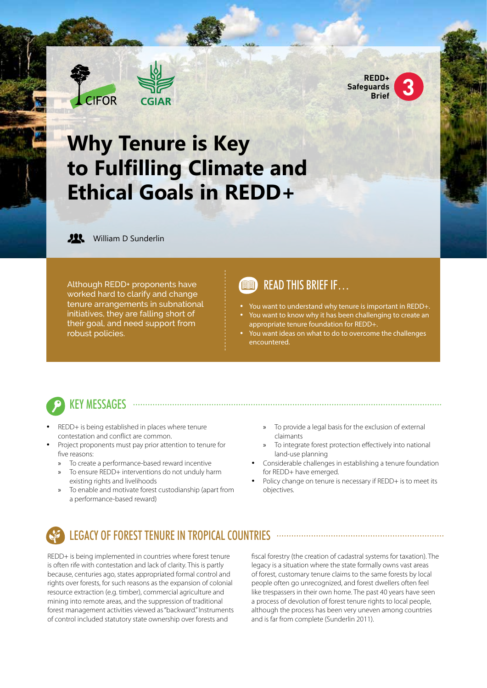



# **Why Tenure is Key to Fulfilling Climate and Ethical Goals in REDD+**



**JIL** William D Sunderlin

Although REDD+ proponents have worked hard to clarify and change tenure arrangements in subnational initiatives, they are falling short of their goal, and need support from robust policies.

### READ THIS BRIEF IF…

- You want to understand why tenure is important in REDD+.
- You want to know why it has been challenging to create an appropriate tenure foundation for REDD+.
- You want ideas on what to do to overcome the challenges encountered.

## **KEY MESSAGES** .....

- REDD+ is being established in places where tenure contestation and conflict are common.
- Project proponents must pay prior attention to tenure for five reasons:
	- » To create a performance-based reward incentive
	- To ensure REDD+ interventions do not unduly harm existing rights and livelihoods
	- » To enable and motivate forest custodianship (apart from a performance-based reward)
- » To provide a legal basis for the exclusion of external claimants
- » To integrate forest protection effectively into national land-use planning
- Considerable challenges in establishing a tenure foundation for REDD+ have emerged.
- Policy change on tenure is necessary if REDD+ is to meet its objectives.

### LEGACY OF FOREST TENURE IN TROPICAL COUNTRIES

REDD+ is being implemented in countries where forest tenure is often rife with contestation and lack of clarity. This is partly because, centuries ago, states appropriated formal control and rights over forests, for such reasons as the expansion of colonial resource extraction (e.g. timber), commercial agriculture and mining into remote areas, and the suppression of traditional forest management activities viewed as "backward." Instruments of control included statutory state ownership over forests and

fiscal forestry (the creation of cadastral systems for taxation). The legacy is a situation where the state formally owns vast areas of forest, customary tenure claims to the same forests by local people often go unrecognized, and forest dwellers often feel like trespassers in their own home. The past 40 years have seen a process of devolution of forest tenure rights to local people, although the process has been very uneven among countries and is far from complete (Sunderlin 2011).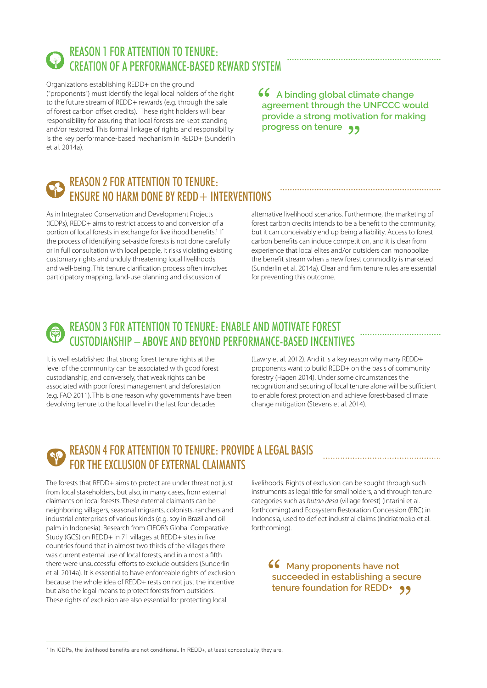

### REASON 1 FOR ATTENTION TO TENURE: CREATION OF A PERFORMANCE-BASED REWARD SYSTEM

Organizations establishing REDD+ on the ground ("proponents") must identify the legal local holders of the right to the future stream of REDD+ rewards (e.g. through the sale of forest carbon offset credits). These right holders will bear responsibility for assuring that local forests are kept standing and/or restored. This formal linkage of rights and responsibility is the key performance-based mechanism in REDD+ (Sunderlin et al. 2014a).

**A binding global climate change agreement through the UNFCCC would provide a strong motivation for making progress on tenure**

### REASON 2 FOR ATTENTION TO TENURE: ENSURE NO HARM DONE BY REDD+ INTERVENTIONS

As in Integrated Conservation and Development Projects (ICDPs), REDD+ aims to restrict access to and conversion of a portion of local forests in exchange for livelihood benefits.<sup>1</sup> If the process of identifying set-aside forests is not done carefully or in full consultation with local people, it risks violating existing customary rights and unduly threatening local livelihoods and well-being. This tenure clarification process often involves participatory mapping, land-use planning and discussion of

alternative livelihood scenarios. Furthermore, the marketing of forest carbon credits intends to be a benefit to the community, but it can conceivably end up being a liability. Access to forest carbon benefits can induce competition, and it is clear from experience that local elites and/or outsiders can monopolize the benefit stream when a new forest commodity is marketed (Sunderlin et al. 2014a). Clear and firm tenure rules are essential for preventing this outcome.

### REASON 3 FOR ATTENTION TO TENURE: ENABLE AND MOTIVATE FOREST CUSTODIANSHIP – ABOVE AND BEYOND PERFORMANCE-BASED INCENTIVES

It is well established that strong forest tenure rights at the level of the community can be associated with good forest custodianship, and conversely, that weak rights can be associated with poor forest management and deforestation (e.g. FAO 2011). This is one reason why governments have been devolving tenure to the local level in the last four decades

(Lawry et al. 2012). And it is a key reason why many REDD+ proponents want to build REDD+ on the basis of community forestry (Hagen 2014). Under some circumstances the recognition and securing of local tenure alone will be sufficient to enable forest protection and achieve forest-based climate change mitigation (Stevens et al. 2014).

### REASON 4 FOR ATTENTION TO TENURE: PROVIDE A LEGAL BASIS FOR THE EXCLUSION OF EXTERNAL CLAIMANTS

The forests that REDD+ aims to protect are under threat not just from local stakeholders, but also, in many cases, from external claimants on local forests. These external claimants can be neighboring villagers, seasonal migrants, colonists, ranchers and industrial enterprises of various kinds (e.g. soy in Brazil and oil palm in Indonesia). Research from CIFOR's Global Comparative Study (GCS) on REDD+ in 71 villages at REDD+ sites in five countries found that in almost two thirds of the villages there was current external use of local forests, and in almost a fifth there were unsuccessful efforts to exclude outsiders (Sunderlin et al. 2014a). It is essential to have enforceable rights of exclusion because the whole idea of REDD+ rests on not just the incentive but also the legal means to protect forests from outsiders. These rights of exclusion are also essential for protecting local

livelihoods. Rights of exclusion can be sought through such instruments as legal title for smallholders, and through tenure categories such as *hutan desa* (village forest) (Intarini et al. forthcoming) and Ecosystem Restoration Concession (ERC) in Indonesia, used to deflect industrial claims (Indriatmoko et al. forthcoming).

**66** Many proponents have not **succeeded in establishing a secure tenure foundation for REDD+**

1 In ICDPs, the livelihood benefits are not conditional. In REDD+, at least conceptually, they are.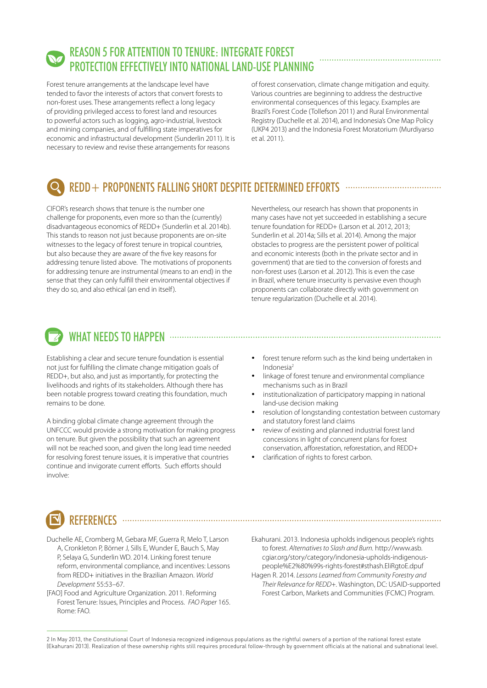### REASON 5 FOR ATTENTION TO TENURE: INTEGRATE FOREST PROTECTION EFFECTIVELY INTO NATIONAL LAND-USE PLANNING

Forest tenure arrangements at the landscape level have tended to favor the interests of actors that convert forests to non-forest uses. These arrangements reflect a long legacy of providing privileged access to forest land and resources to powerful actors such as logging, agro-industrial, livestock and mining companies, and of fulfilling state imperatives for economic and infrastructural development (Sunderlin 2011). It is necessary to review and revise these arrangements for reasons

of forest conservation, climate change mitigation and equity. Various countries are beginning to address the destructive environmental consequences of this legacy. Examples are Brazil's Forest Code (Tollefson 2011) and Rural Environmental Registry (Duchelle et al. 2014), and Indonesia's One Map Policy (UKP4 2013) and the Indonesia Forest Moratorium (Murdiyarso et al. 2011).

## REDD+ PROPONENTS FALLING SHORT DESPITE DETERMINED EFFORTS www.www.www.www.

CIFOR's research shows that tenure is the number one challenge for proponents, even more so than the (currently) disadvantageous economics of REDD+ (Sunderlin et al. 2014b). This stands to reason not just because proponents are on-site witnesses to the legacy of forest tenure in tropical countries, but also because they are aware of the five key reasons for addressing tenure listed above. The motivations of proponents for addressing tenure are instrumental (means to an end) in the sense that they can only fulfill their environmental objectives if they do so, and also ethical (an end in itself).

Nevertheless, our research has shown that proponents in many cases have not yet succeeded in establishing a secure tenure foundation for REDD+ (Larson et al. 2012, 2013; Sunderlin et al. 2014a; Sills et al. 2014). Among the major obstacles to progress are the persistent power of political and economic interests (both in the private sector and in government) that are tied to the conversion of forests and non-forest uses (Larson et al. 2012). This is even the case in Brazil, where tenure insecurity is pervasive even though proponents can collaborate directly with government on tenure regularization (Duchelle et al. 2014).

## WHAT NEEDS TO HAPPEN ......

Establishing a clear and secure tenure foundation is essential not just for fulfilling the climate change mitigation goals of REDD+, but also, and just as importantly, for protecting the livelihoods and rights of its stakeholders. Although there has been notable progress toward creating this foundation, much remains to be done.

A binding global climate change agreement through the UNFCCC would provide a strong motivation for making progress on tenure. But given the possibility that such an agreement will not be reached soon, and given the long lead time needed for resolving forest tenure issues, it is imperative that countries continue and invigorate current efforts. Such efforts should involve:

forest tenure reform such as the kind being undertaken in Indonesia2

- linkage of forest tenure and environmental compliance mechanisms such as in Brazil
- institutionalization of participatory mapping in national land-use decision making
- resolution of longstanding contestation between customary and statutory forest land claims
- review of existing and planned industrial forest land concessions in light of concurrent plans for forest conservation, afforestation, reforestation, and REDD+
- clarification of rights to forest carbon.

## REFERENCES ..........

- Duchelle AE, Cromberg M, Gebara MF, Guerra R, Melo T, Larson A, Cronkleton P, Börner J, Sills E, Wunder E, Bauch S, May P, Selaya G, Sunderlin WD. 2014. Linking forest tenure reform, environmental compliance, and incentives: Lessons from REDD+ initiatives in the Brazilian Amazon. *World Development* 55:53–67.
- [FAO] Food and Agriculture Organization. 2011. Reforming Forest Tenure: Issues, Principles and Process. *FAO Paper* 165. Rome: FAO.

Ekahurani. 2013. Indonesia upholds indigenous people's rights to forest. *Alternatives to Slash and Burn.* http://www.asb. cgiar.org/story/category/indonesia-upholds-indigenouspeople%E2%80%99s-rights-forest#sthash.EliRgtoE.dpuf Hagen R. 2014. *Lessons Learned from Community Forestry and* 

*Their Relevance for REDD+.* Washington, DC: USAID-supported Forest Carbon, Markets and Communities (FCMC) Program.

<sup>2</sup> In May 2013, the Constitutional Court of Indonesia recognized indigenous populations as the rightful owners of a portion of the national forest estate (Ekahurani 2013). Realization of these ownership rights still requires procedural follow-through by government officials at the national and subnational level.